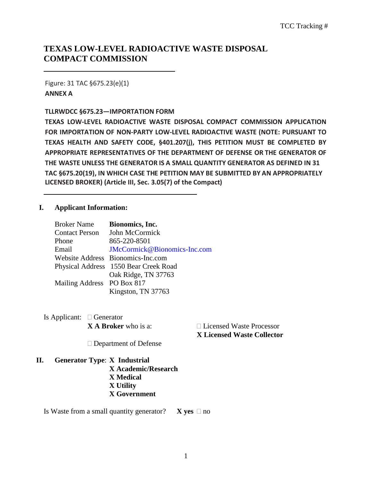# **TEXAS LOW-LEVEL RADIOACTIVE WASTE DISPOSAL COMPACT COMMISSION**

Figure: 31 TAC §675.23(e)(1) **ANNEX A**

#### **TLLRWDCC §675.23—IMPORTATION FORM**

**TEXAS LOW-LEVEL RADIOACTIVE WASTE DISPOSAL COMPACT COMMISSION APPLICATION FOR IMPORTATION OF NON-PARTY LOW-LEVEL RADIOACTIVE WASTE (NOTE: PURSUANT TO TEXAS HEALTH AND SAFETY CODE, §401.207(j), THIS PETITION MUST BE COMPLETED BY APPROPRIATE REPRESENTATIVES OF THE DEPARTMENT OF DEFENSE OR THE GENERATOR OF THE WASTE UNLESS THE GENERATOR IS A SMALL QUANTITY GENERATOR AS DEFINED IN 31 TAC §675.20(19), IN WHICH CASE THE PETITION MAY BE SUBMITTED BY AN APPROPRIATELY LICENSED BROKER) (Article III, Sec. 3.05(7) of the Compact)**

### **I. Applicant Information:**

| <b>Broker Name</b>         | Bionomics, Inc.                       |
|----------------------------|---------------------------------------|
| <b>Contact Person</b>      | John McCormick                        |
| Phone                      | 865-220-8501                          |
| Email                      | JMcCormick@Bionomics-Inc.com          |
|                            | Website Address Bionomics-Inc.com     |
|                            | Physical Address 1550 Bear Creek Road |
|                            | Oak Ridge, TN 37763                   |
| Mailing Address PO Box 817 |                                       |
|                            | Kingston, TN 37763                    |

Is Applicant:  $\Box$  Generator

**X A Broker** who is a: □ Licensed Waste Processor **X Licensed Waste Collector**

□ Department of Defense

**II. Generator Type**: **X Industrial X Academic/Research X Medical X Utility X Government**

Is Waste from a small quantity generator? **X** yes  $\Box$  no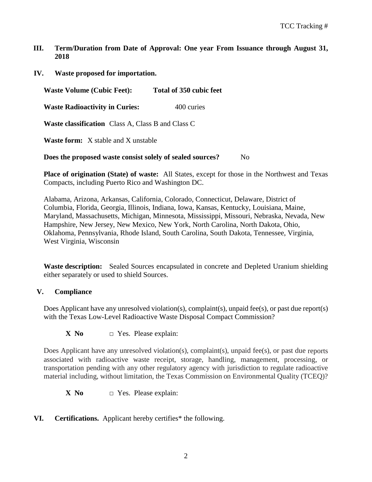- **III. Term/Duration from Date of Approval: One year From Issuance through August 31, 2018**
- **IV. Waste proposed for importation.**

**Waste Volume (Cubic Feet): Total of 350 cubic feet**

**Waste Radioactivity in Curies:** 400 curies

**Waste classification** Class A, Class B and Class C

**Waste form:** X stable and X unstable

**Does the proposed waste consist solely of sealed sources?** No

**Place of origination (State) of waste:** All States, except for those in the Northwest and Texas Compacts, including Puerto Rico and Washington DC.

Alabama, Arizona, Arkansas, California, Colorado, Connecticut, Delaware, District of Columbia, Florida, Georgia, Illinois, Indiana, Iowa, Kansas, Kentucky, Louisiana, Maine, Maryland, Massachusetts, Michigan, Minnesota, Mississippi, Missouri, Nebraska, Nevada, New Hampshire, New Jersey, New Mexico, New York, North Carolina, North Dakota, Ohio, Oklahoma, Pennsylvania, Rhode Island, South Carolina, South Dakota, Tennessee, Virginia, West Virginia, Wisconsin

**Waste description:** Sealed Sources encapsulated in concrete and Depleted Uranium shielding either separately or used to shield Sources.

### **V. Compliance**

Does Applicant have any unresolved violation(s), complaint(s), unpaid fee(s), or past due report(s) with the Texas Low-Level Radioactive Waste Disposal Compact Commission?

**X** No  $\Box$  Yes. Please explain:

Does Applicant have any unresolved violation(s), complaint(s), unpaid fee(s), or past due reports associated with radioactive waste receipt, storage, handling, management, processing, or transportation pending with any other regulatory agency with jurisdiction to regulate radioactive material including, without limitation, the Texas Commission on Environmental Quality (TCEQ)?

**X** No  $\Box$  Yes. Please explain:

### **VI. Certifications.** Applicant hereby certifies\* the following.